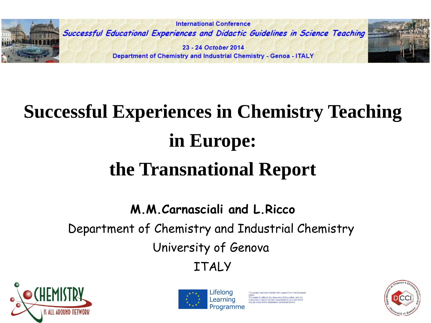

# **Successful Experiences in Chemistry Teaching in Europe: the Transnational Report**

**M.M.Carnasciali and L.Ricco** Department of Chemistry and Industrial Chemistry University of Genova ITALY





erial reflects the views only of the author, and the mission cannot be held responsible for any use<br>be made of the information contained therein.

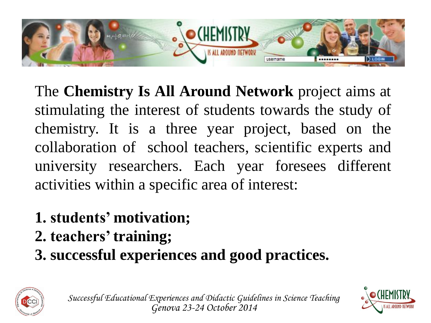

The **Chemistry Is All Around Network** project aims at stimulating the interest of students towards the study of chemistry. It is a three year project, based on the collaboration of school teachers, scientific experts and university researchers. Each year foresees different activities within a specific area of interest:

- **1. students' motivation;**
- **2. teachers'training;**
- **3. successful experiences and good practices.**



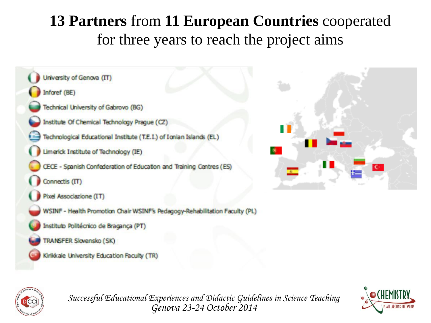### **13 Partners** from **11 European Countries** cooperated for three years to reach the project aims







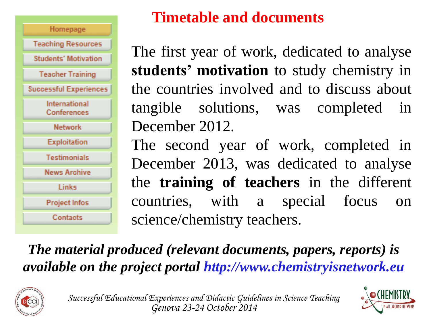

### **Timetable and documents**

The first year of work, dedicated to analyse **students' motivation** to study chemistry in the countries involved and to discuss about tangible solutions, was completed in December 2012.

The second year of work, completed in December 2013, was dedicated to analyse the **training of teachers** in the different countries, with a special focus on science/chemistry teachers.

### *The material produced (relevant documents, papers, reports) is available on the project portal http://www.chemistryisnetwork.eu*



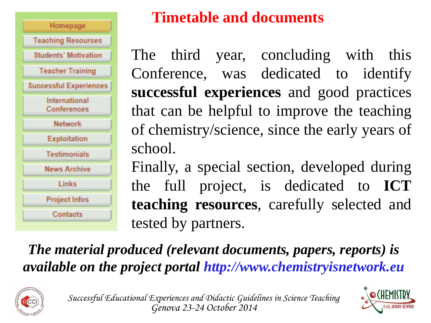

### **Timetable and documents**

The third year, concluding with this Conference, was dedicated to identify **successful experiences** and good practices that can be helpful to improve the teaching of chemistry/science, since the early years of school.

Finally, a special section, developed during the full project, is dedicated to **ICT teaching resources**, carefully selected and tested by partners.

### *The material produced (relevant documents, papers, reports) is available on the project portal http://www.chemistryisnetwork.eu*





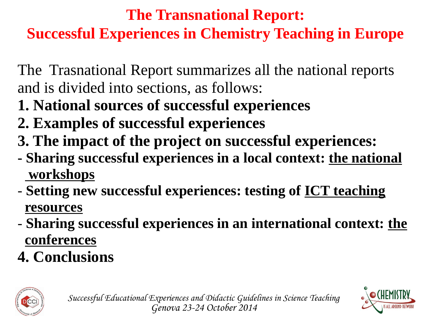# **The Transnational Report: Successful Experiences in Chemistry Teaching in Europe**

The Trasnational Report summarizes all the national reports and is divided into sections, as follows:

- **1. National sources of successful experiences**
- **2. Examples of successful experiences**
- **3. The impact of the project on successful experiences:**
- **- Sharing successful experiences in a local context: the national workshops**
- **Setting new successful experiences: testing of ICT teaching resources**
- **Sharing successful experiences in an international context: the conferences**
- **4. Conclusions**





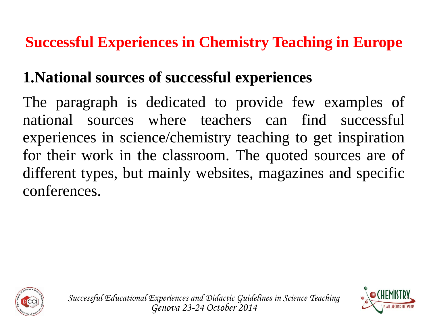### **1.National sources of successful experiences**

The paragraph is dedicated to provide few examples of national sources where teachers can find successful experiences in science/chemistry teaching to get inspiration for their work in the classroom. The quoted sources are of different types, but mainly websites, magazines and specific conferences.



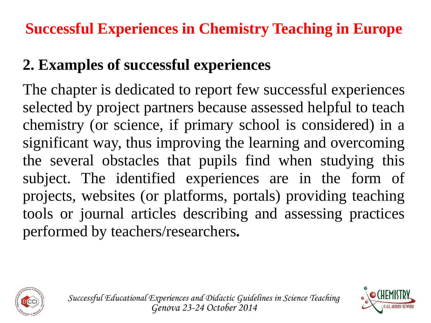# **2. Examples of successful experiences**

The chapter is dedicated to report few successful experiences selected by project partners because assessed helpful to teach chemistry (or science, if primary school is considered) in a significant way, thus improving the learning and overcoming the several obstacles that pupils find when studying this subject. The identified experiences are in the form of projects, websites (or platforms, portals) providing teaching tools or journal articles describing and assessing practices performed by teachers/researchers**.**



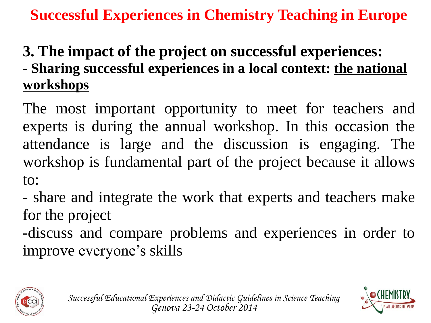### **3. The impact of the project on successful experiences: - Sharing successful experiences in a local context: the national workshops**

The most important opportunity to meet for teachers and experts is during the annual workshop. In this occasion the attendance is large and the discussion is engaging. The workshop is fundamental part of the project because it allows to:

- share and integrate the work that experts and teachers make for the project

-discuss and compare problems and experiences in order to improve everyone's skills



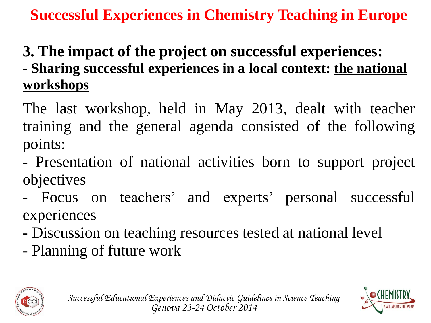# **3. The impact of the project on successful experiences:**

**- Sharing successful experiences in a local context: the national workshops**

The last workshop, held in May 2013, dealt with teacher training and the general agenda consisted of the following points:

- Presentation of national activities born to support project objectives

- Focus on teachers' and experts' personal successful experiences

- Discussion on teaching resources tested at national level
- Planning of future work





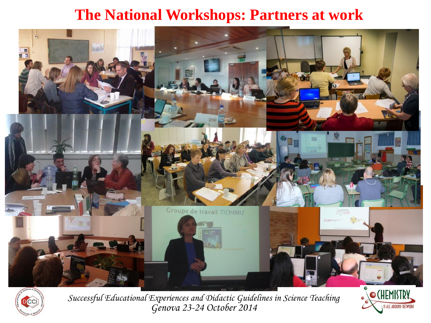### **The National Workshops: Partners at work**





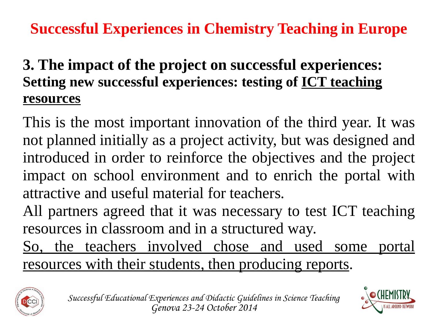### **3. The impact of the project on successful experiences: Setting new successful experiences: testing of ICT teaching resources**

This is the most important innovation of the third year. It was not planned initially as a project activity, but was designed and introduced in order to reinforce the objectives and the project impact on school environment and to enrich the portal with attractive and useful material for teachers.

All partners agreed that it was necessary to test ICT teaching resources in classroom and in a structured way.

So, the teachers involved chose and used some portal resources with their students, then producing reports.



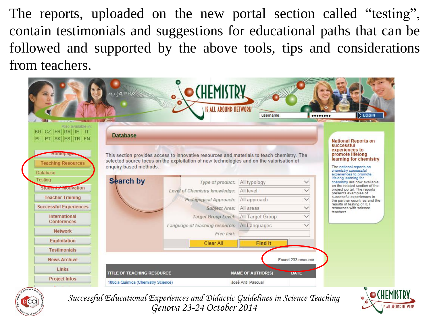The reports, uploaded on the new portal section called "testing", contain testimonials and suggestions for educational paths that can be followed and supported by the above tools, tips and considerations from teachers.

|                                                                            |                                                                         | <b>(HEMISTRY</b><br><b>IS ALL AROUND NETWORK</b>                                                                                                                                       | username                                                  |                    | LOGIN<br>                                                                                                                                                                                                              |
|----------------------------------------------------------------------------|-------------------------------------------------------------------------|----------------------------------------------------------------------------------------------------------------------------------------------------------------------------------------|-----------------------------------------------------------|--------------------|------------------------------------------------------------------------------------------------------------------------------------------------------------------------------------------------------------------------|
| Also available in:<br>CZ FR GR IE<br><b>BG</b><br>llт<br>PL PT SK ES TR EN | <b>Database</b>                                                         |                                                                                                                                                                                        |                                                           |                    | <b>National Reports on</b>                                                                                                                                                                                             |
| <b>FOILEDGA</b><br><b>Teaching Resources</b><br><b>Database</b>            | enquiry based methods.                                                  | This section provides access to innovative resources and materials to teach chemistry. The<br>selected source focus on the exploitation of new technologies and on the valorisation of |                                                           |                    | successful<br>experiences to<br>promote lifelong<br>learning for chemistry<br>The national reports on<br>chemistry successful                                                                                          |
| <b>Testing</b>                                                             | <b>Search by</b>                                                        | Type of product:                                                                                                                                                                       | All typology                                              | $\checkmark$       | experiences to promote<br>lifelong learning for<br>chemistry are now available                                                                                                                                         |
| Studence wouvation                                                         |                                                                         | Level of Chemistry knowledge:                                                                                                                                                          | All level                                                 | $\checkmark$       | on the related section of the<br>project portal. The reports<br>presents examples of<br>successful experiences in<br>the partner countries and the<br>results of testing of ICT<br>resources with science<br>teachers. |
| <b>Teacher Training</b>                                                    |                                                                         | Pedagogical Approach:                                                                                                                                                                  | All approach                                              | $\checkmark$       |                                                                                                                                                                                                                        |
| <b>Successful Experiences</b>                                              |                                                                         | Subject Area:                                                                                                                                                                          | All areas                                                 | $\checkmark$       |                                                                                                                                                                                                                        |
| <b>International</b>                                                       |                                                                         | <b>Target Group Level:</b>                                                                                                                                                             | All Target Group                                          | $\checkmark$       |                                                                                                                                                                                                                        |
| <b>Conferences</b>                                                         |                                                                         | Language of teaching resource:                                                                                                                                                         | All Languages                                             | $\check{ }$        |                                                                                                                                                                                                                        |
| <b>Network</b>                                                             |                                                                         | Free text:                                                                                                                                                                             |                                                           |                    |                                                                                                                                                                                                                        |
| Exploitation                                                               |                                                                         | Clear All                                                                                                                                                                              | <b>Find it</b>                                            |                    |                                                                                                                                                                                                                        |
| <b>Testimonials</b>                                                        |                                                                         |                                                                                                                                                                                        |                                                           |                    |                                                                                                                                                                                                                        |
| <b>News Archive</b>                                                        |                                                                         |                                                                                                                                                                                        |                                                           | Found 233 resource |                                                                                                                                                                                                                        |
| Links                                                                      |                                                                         |                                                                                                                                                                                        |                                                           |                    |                                                                                                                                                                                                                        |
| <b>Project Infos</b>                                                       | <b>TITLE OF TEACHING RESOURCE</b><br>100cia Química (Chemistry Science) |                                                                                                                                                                                        | <b>NAME OF AUTHOR(S)</b><br>José Ant <sup>o</sup> Pascual | <b>UAIL</b>        |                                                                                                                                                                                                                        |



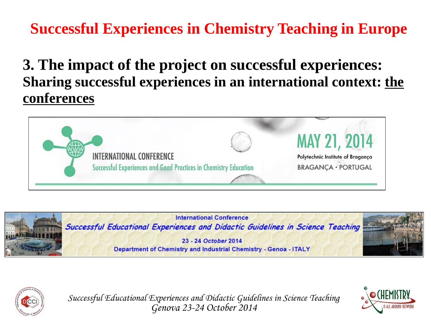#### **3. The impact of the project on successful experiences: Sharing successful experiences in an international context: the conferences**







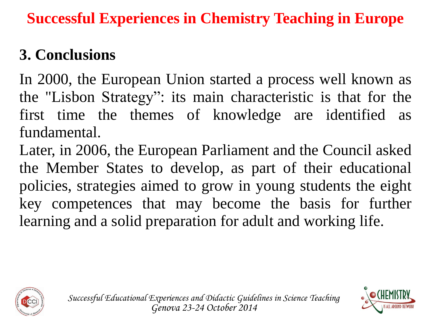# **3. Conclusions**

In 2000, the European Union started a process well known as the "Lisbon Strategy": its main characteristic is that for the first time the themes of knowledge are identified as fundamental.

Later, in 2006, the European Parliament and the Council asked the Member States to develop, as part of their educational policies, strategies aimed to grow in young students the eight key competences that may become the basis for further learning and a solid preparation for adult and working life.



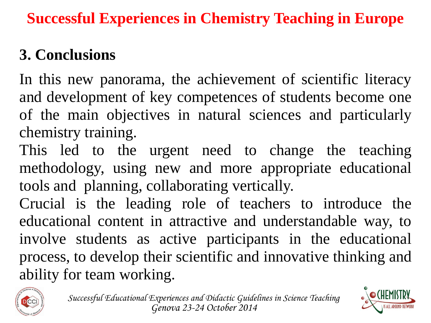# **3. Conclusions**

In this new panorama, the achievement of scientific literacy and development of key competences of students become one of the main objectives in natural sciences and particularly chemistry training.

This led to the urgent need to change the teaching methodology, using new and more appropriate educational tools and planning, collaborating vertically.

Crucial is the leading role of teachers to introduce the educational content in attractive and understandable way, to involve students as active participants in the educational process, to develop their scientific and innovative thinking and ability for team working.



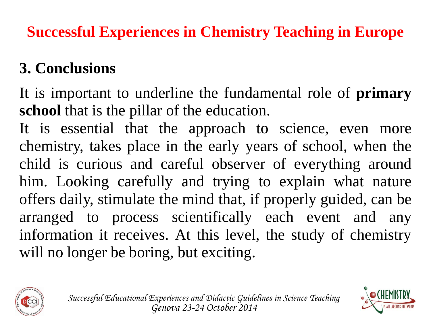# **3. Conclusions**

It is important to underline the fundamental role of **primary school** that is the pillar of the education.

It is essential that the approach to science, even more chemistry, takes place in the early years of school, when the child is curious and careful observer of everything around him. Looking carefully and trying to explain what nature offers daily, stimulate the mind that, if properly guided, can be arranged to process scientifically each event and any information it receives. At this level, the study of chemistry will no longer be boring, but exciting.